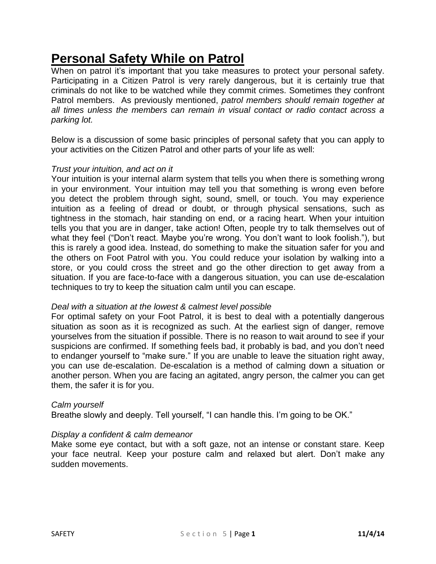# **Personal Safety While on Patrol**

When on patrol it's important that you take measures to protect your personal safety. Participating in a Citizen Patrol is very rarely dangerous, but it is certainly true that criminals do not like to be watched while they commit crimes. Sometimes they confront Patrol members. As previously mentioned, *patrol members should remain together at all times unless the members can remain in visual contact or radio contact across a parking lot.*

Below is a discussion of some basic principles of personal safety that you can apply to your activities on the Citizen Patrol and other parts of your life as well:

# *Trust your intuition, and act on it*

Your intuition is your internal alarm system that tells you when there is something wrong in your environment. Your intuition may tell you that something is wrong even before you detect the problem through sight, sound, smell, or touch. You may experience intuition as a feeling of dread or doubt, or through physical sensations, such as tightness in the stomach, hair standing on end, or a racing heart. When your intuition tells you that you are in danger, take action! Often, people try to talk themselves out of what they feel ("Don't react. Maybe you're wrong. You don't want to look foolish."), but this is rarely a good idea. Instead, do something to make the situation safer for you and the others on Foot Patrol with you. You could reduce your isolation by walking into a store, or you could cross the street and go the other direction to get away from a situation. If you are face-to-face with a dangerous situation, you can use de-escalation techniques to try to keep the situation calm until you can escape.

## *Deal with a situation at the lowest & calmest level possible*

For optimal safety on your Foot Patrol, it is best to deal with a potentially dangerous situation as soon as it is recognized as such. At the earliest sign of danger, remove yourselves from the situation if possible. There is no reason to wait around to see if your suspicions are confirmed. If something feels bad, it probably is bad, and you don't need to endanger yourself to "make sure." If you are unable to leave the situation right away, you can use de-escalation. De-escalation is a method of calming down a situation or another person. When you are facing an agitated, angry person, the calmer you can get them, the safer it is for you.

## *Calm yourself*

Breathe slowly and deeply. Tell yourself, "I can handle this. I'm going to be OK."

# *Display a confident & calm demeanor*

Make some eye contact, but with a soft gaze, not an intense or constant stare. Keep your face neutral. Keep your posture calm and relaxed but alert. Don't make any sudden movements.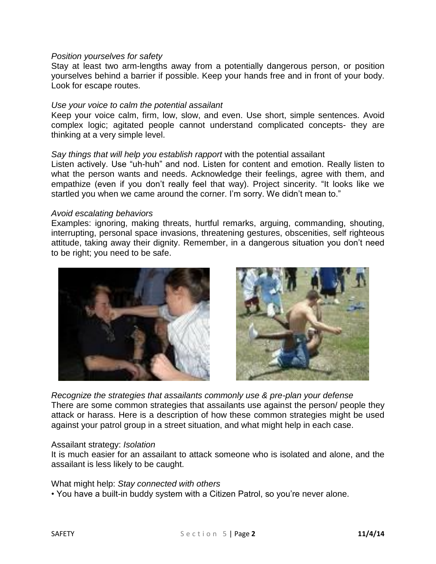## *Position yourselves for safety*

Stay at least two arm-lengths away from a potentially dangerous person, or position yourselves behind a barrier if possible. Keep your hands free and in front of your body. Look for escape routes.

#### *Use your voice to calm the potential assailant*

Keep your voice calm, firm, low, slow, and even. Use short, simple sentences. Avoid complex logic; agitated people cannot understand complicated concepts- they are thinking at a very simple level.

#### *Say things that will help you establish rapport* with the potential assailant

Listen actively. Use "uh-huh" and nod. Listen for content and emotion. Really listen to what the person wants and needs. Acknowledge their feelings, agree with them, and empathize (even if you don't really feel that way). Project sincerity. "It looks like we startled you when we came around the corner. I'm sorry. We didn't mean to."

#### *Avoid escalating behaviors*

Examples: ignoring, making threats, hurtful remarks, arguing, commanding, shouting, interrupting, personal space invasions, threatening gestures, obscenities, self righteous attitude, taking away their dignity. Remember, in a dangerous situation you don't need to be right; you need to be safe.





*Recognize the strategies that assailants commonly use & pre-plan your defense* There are some common strategies that assailants use against the person/ people they attack or harass. Here is a description of how these common strategies might be used against your patrol group in a street situation, and what might help in each case.

#### Assailant strategy: *Isolation*

It is much easier for an assailant to attack someone who is isolated and alone, and the assailant is less likely to be caught.

What might help: *Stay connected with others*

• You have a built-in buddy system with a Citizen Patrol, so you're never alone.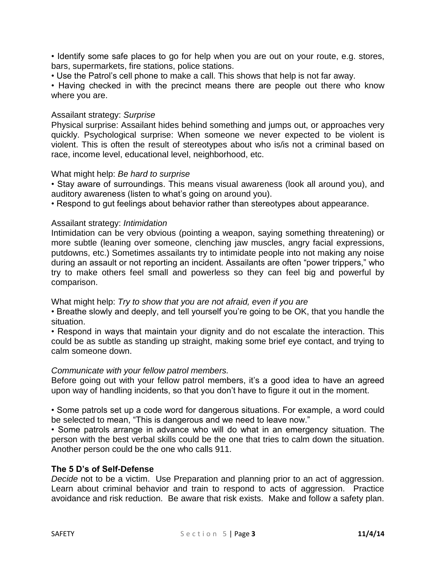• Identify some safe places to go for help when you are out on your route, e.g. stores, bars, supermarkets, fire stations, police stations.

• Use the Patrol's cell phone to make a call. This shows that help is not far away.

• Having checked in with the precinct means there are people out there who know where you are.

## Assailant strategy: *Surprise*

Physical surprise: Assailant hides behind something and jumps out, or approaches very quickly. Psychological surprise: When someone we never expected to be violent is violent. This is often the result of stereotypes about who is/is not a criminal based on race, income level, educational level, neighborhood, etc.

## What might help: *Be hard to surprise*

• Stay aware of surroundings. This means visual awareness (look all around you), and auditory awareness (listen to what's going on around you).

• Respond to gut feelings about behavior rather than stereotypes about appearance.

# Assailant strategy: *Intimidation*

Intimidation can be very obvious (pointing a weapon, saying something threatening) or more subtle (leaning over someone, clenching jaw muscles, angry facial expressions, putdowns, etc.) Sometimes assailants try to intimidate people into not making any noise during an assault or not reporting an incident. Assailants are often "power trippers," who try to make others feel small and powerless so they can feel big and powerful by comparison.

What might help: *Try to show that you are not afraid, even if you are*

• Breathe slowly and deeply, and tell yourself you're going to be OK, that you handle the situation.

• Respond in ways that maintain your dignity and do not escalate the interaction. This could be as subtle as standing up straight, making some brief eye contact, and trying to calm someone down.

## *Communicate with your fellow patrol members.*

Before going out with your fellow patrol members, it's a good idea to have an agreed upon way of handling incidents, so that you don't have to figure it out in the moment.

• Some patrols set up a code word for dangerous situations. For example, a word could be selected to mean, "This is dangerous and we need to leave now."

• Some patrols arrange in advance who will do what in an emergency situation. The person with the best verbal skills could be the one that tries to calm down the situation. Another person could be the one who calls 911.

## **The 5 D's of Self-Defense**

*Decide* not to be a victim. Use Preparation and planning prior to an act of aggression. Learn about criminal behavior and train to respond to acts of aggression. Practice avoidance and risk reduction. Be aware that risk exists. Make and follow a safety plan.